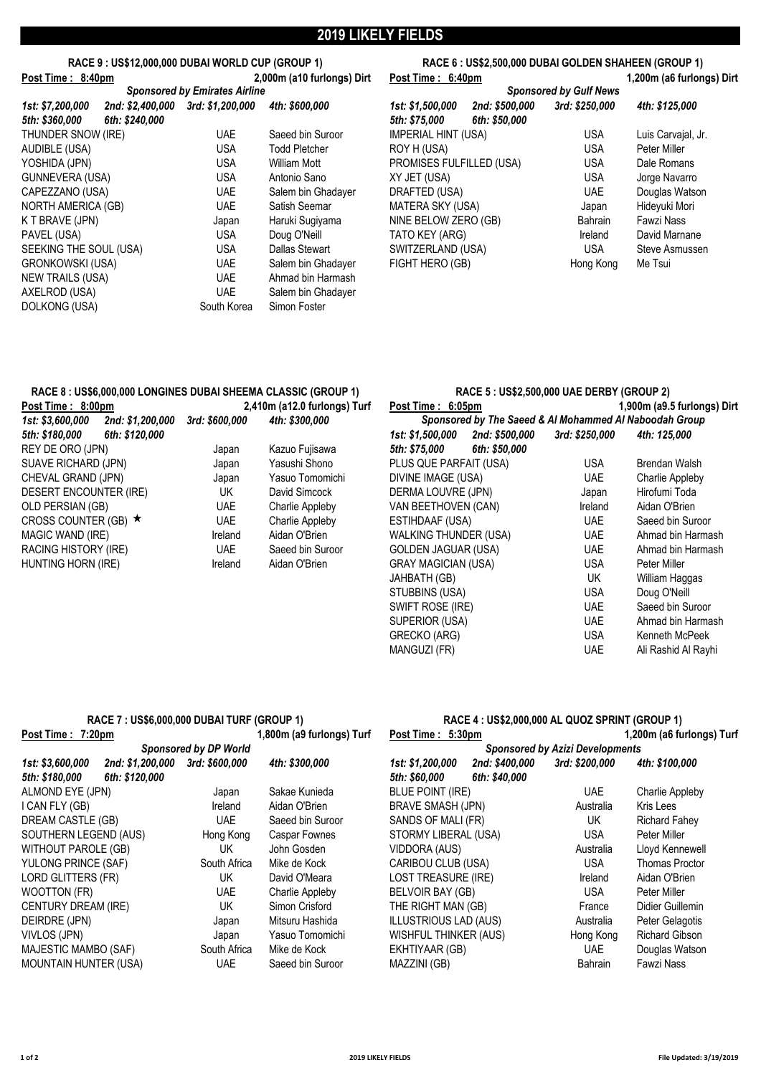| Post Time: 8:00pm                    |                | 2,410m (a12.0 furlongs) Turf | Post Time: 6:05pm            |                |                | 1,900m (a9.5 furlongs) Dirt                            |
|--------------------------------------|----------------|------------------------------|------------------------------|----------------|----------------|--------------------------------------------------------|
| 1st: \$3,600,000<br>2nd: \$1,200,000 | 3rd: \$600,000 | 4th: \$300,000               |                              |                |                | Sponsored by The Saeed & Al Mohammed Al Naboodah Group |
| 5th: \$180,000<br>6th: \$120,000     |                |                              | 1st: \$1,500,000             | 2nd: \$500,000 | 3rd: \$250,000 | 4th: 125,000                                           |
| REY DE ORO (JPN)                     | Japan          | Kazuo Fujisawa               | 5th: \$75,000                | 6th: \$50,000  |                |                                                        |
| <b>SUAVE RICHARD (JPN)</b>           | Japan          | Yasushi Shono                | PLUS QUE PARFAIT (USA)       |                | <b>USA</b>     | <b>Brendan Walsh</b>                                   |
| CHEVAL GRAND (JPN)                   | Japan          | Yasuo Tomomichi              | DIVINE IMAGE (USA)           |                | <b>UAE</b>     | Charlie Appleby                                        |
| <b>DESERT ENCOUNTER (IRE)</b>        | UK             | David Simcock                | DERMA LOUVRE (JPN)           |                | Japan          | Hirofumi Toda                                          |
| OLD PERSIAN (GB)                     | <b>UAE</b>     | Charlie Appleby              | VAN BEETHOVEN (CAN)          |                | Ireland        | Aidan O'Brien                                          |
| CROSS COUNTER (GB) $\star$           | UAE.           | <b>Charlie Appleby</b>       | ESTIHDAAF (USA)              |                | <b>UAE</b>     | Saeed bin Suroor                                       |
| MAGIC WAND (IRE)                     | Ireland        | Aidan O'Brien                | <b>WALKING THUNDER (USA)</b> |                | <b>UAE</b>     | Ahmad bin Harmash                                      |
| <b>RACING HISTORY (IRE)</b>          | UAE.           | Saeed bin Suroor             | <b>GOLDEN JAGUAR (USA)</b>   |                | <b>UAE</b>     | Ahmad bin Harmash                                      |
| HUNTING HORN (IRE)                   | Ireland        | Aidan O'Brien                | <b>GRAY MAGICIAN (USA)</b>   |                | <b>USA</b>     | <b>Peter Miller</b>                                    |
|                                      |                |                              | <b>JAHBATH (GB)</b>          |                | UK             | William Haggas                                         |

| RACE 9 : US\$12,000,000 DUBAI WORLD CUP (GROUP 1) |                       |                                                                    | RACE 6 : US\$2,500,000 DUBAI GOLDEN SHAHEEN (GROUP 1) |                           |  |  |
|---------------------------------------------------|-----------------------|--------------------------------------------------------------------|-------------------------------------------------------|---------------------------|--|--|
|                                                   |                       | Post Time: 6:40pm                                                  |                                                       | 1,200m (a6 furlongs) Dirt |  |  |
|                                                   |                       | <b>Sponsored by Gulf News</b>                                      |                                                       |                           |  |  |
| 3rd: \$1,200,000                                  | 4th: \$600,000        | 2nd: \$500,000<br>1st: \$1,500,000                                 | 3rd: \$250,000                                        | 4th: \$125,000            |  |  |
|                                                   |                       | 6th: \$50,000<br>5th: \$75,000                                     |                                                       |                           |  |  |
| <b>UAE</b>                                        | Saeed bin Suroor      | <b>IMPERIAL HINT (USA)</b>                                         | <b>USA</b>                                            | Luis Carvajal, Jr.        |  |  |
| <b>USA</b>                                        | <b>Todd Pletcher</b>  | ROY H (USA)                                                        | <b>USA</b>                                            | Peter Miller              |  |  |
| <b>USA</b>                                        | William Mott          | <b>PROMISES FULFILLED (USA)</b>                                    | <b>USA</b>                                            | Dale Romans               |  |  |
| <b>USA</b>                                        | Antonio Sano          | XY JET (USA)                                                       | <b>USA</b>                                            | Jorge Navarro             |  |  |
| <b>UAE</b>                                        | Salem bin Ghadayer    | DRAFTED (USA)                                                      | <b>UAE</b>                                            | Douglas Watson            |  |  |
| <b>UAE</b>                                        | Satish Seemar         | MATERA SKY (USA)                                                   | Japan                                                 | Hideyuki Mori             |  |  |
| Japan                                             | Haruki Sugiyama       | NINE BELOW ZERO (GB)                                               | <b>Bahrain</b>                                        | Fawzi Nass                |  |  |
| <b>USA</b>                                        | Doug O'Neill          | TATO KEY (ARG)                                                     | Ireland                                               | David Marnane             |  |  |
| <b>USA</b>                                        | <b>Dallas Stewart</b> | SWITZERLAND (USA)                                                  | <b>USA</b>                                            | Steve Asmussen            |  |  |
| <b>UAE</b>                                        | Salem bin Ghadayer    | FIGHT HERO (GB)                                                    | Hong Kong                                             | Me Tsui                   |  |  |
| <b>UAE</b>                                        | Ahmad bin Harmash     |                                                                    |                                                       |                           |  |  |
| <b>UAE</b>                                        | Salem bin Ghadayer    |                                                                    |                                                       |                           |  |  |
| South Korea                                       | Simon Foster          |                                                                    |                                                       |                           |  |  |
|                                                   |                       | 2,000m (a10 furlongs) Dirt<br><b>Sponsored by Emirates Airline</b> |                                                       |                           |  |  |

| RACE 5 : US\$2,500,000 UAE DERBY (GROUP 2)             |                |                             |  |  |  |  |
|--------------------------------------------------------|----------------|-----------------------------|--|--|--|--|
| Post Time: 6:05pm                                      |                | 1,900m (a9.5 furlongs) Dirt |  |  |  |  |
| Sponsored by The Saeed & Al Mohammed Al Naboodah Group |                |                             |  |  |  |  |
| 1st: \$1,500,000 2nd: \$500,000                        | 3rd: \$250,000 | 4th: 125,000                |  |  |  |  |
| 5th: \$75,000 6th: \$50,000                            |                |                             |  |  |  |  |
| PLUS QUE PARFAIT (USA)                                 | <b>USA</b>     | <b>Brendan Walsh</b>        |  |  |  |  |
| <b>DIVINE IMAGE (USA)</b>                              | <b>UAE</b>     | <b>Charlie Appleby</b>      |  |  |  |  |
| <b>DERMA LOUVRE (JPN)</b>                              | Japan          | Hirofumi Toda               |  |  |  |  |
| VAN BEETHOVEN (CAN)                                    | Ireland        | Aidan O'Brien               |  |  |  |  |
| <b>ESTIHDAAF (USA)</b>                                 | <b>UAE</b>     | Saeed bin Suroor            |  |  |  |  |
| <b>WALKING THUNDER (USA)</b>                           | UAE            | Ahmad bin Harmash           |  |  |  |  |
| <b>GOLDEN JAGUAR (USA)</b>                             | <b>UAE</b>     | Ahmad bin Harmash           |  |  |  |  |
| <b>GRAY MAGICIAN (USA)</b>                             | <b>USA</b>     | <b>Peter Miller</b>         |  |  |  |  |
| <b>JAHBATH (GB)</b>                                    | UK             | William Haggas              |  |  |  |  |
| <b>STUBBINS (USA)</b>                                  | <b>USA</b>     | Doug O'Neill                |  |  |  |  |
| SWIFT ROSE (IRE)                                       | <b>UAE</b>     | Saeed bin Suroor            |  |  |  |  |
| <b>SUPERIOR (USA)</b>                                  | <b>UAE</b>     | Ahmad bin Harmash           |  |  |  |  |
| <b>GRECKO (ARG)</b>                                    | <b>USA</b>     | Kenneth McPeek              |  |  |  |  |
| <b>MANGUZI (FR)</b>                                    | <b>UAE</b>     | Ali Rashid Al Rayhi         |  |  |  |  |
|                                                        |                |                             |  |  |  |  |

| RACE 7 : US\$6,000,000 DUBAI TURF (GROUP 1) |                  |                | RACE 4 : US\$2,000,000 AL QUOZ SPRINT (GROUP 1) |                          |                |                |                           |
|---------------------------------------------|------------------|----------------|-------------------------------------------------|--------------------------|----------------|----------------|---------------------------|
| Post Time: 7:20pm                           |                  |                | 1,800m (a9 furlongs) Turf                       | Post Time: 5:30pm        |                |                | 1,200m (a6 furlongs) Turf |
| <b>Sponsored by DP World</b>                |                  |                | <b>Sponsored by Azizi Developments</b>          |                          |                |                |                           |
| 1st: \$3,600,000                            | 2nd: \$1,200,000 | 3rd: \$600,000 | 4th: \$300,000                                  | 1st: \$1,200,000         | 2nd: \$400,000 | 3rd: \$200,000 | 4th: \$100,000            |
| 5th: \$180,000                              | 6th: \$120,000   |                |                                                 | 5th: \$60,000            | 6th: \$40.000  |                |                           |
| ALMOND EYE (JPN)                            |                  | Japan          | Sakae Kunieda                                   | <b>BLUE POINT (IRE)</b>  |                | UAE            | <b>Charlie Appleby</b>    |
| I CAN FLY (GB)                              |                  | Ireland        | Aidan O'Brien                                   | <b>BRAVE SMASH (JPN)</b> |                | Australia      | <b>Kris Lees</b>          |

SOUTHERN LEGEND (AUS) Hong Kong Caspar Fownes STORMY LIBERAL (USA) USA Peter Miller WITHOUT PAROLE (GB) **UK** John Gosden VIDDORA (AUS) Australia Lloyd Kennewell YULONG PRINCE (SAF) South Africa Mike de Kock CARIBOU CLUB (USA) USA Thomas Proctor LORD GLITTERS (FR) **IREL A. EXAMPLE CONSTREASURE (IRE)** Ireland Aidan O'Brien WOOTTON (FR) CHARLE Charlie Appleby BELVOIR BAY (GB) USA Peter Miller CENTURY DREAM (IRE) UK Simon Crisford THE RIGHT MAN (GB) France Didier Guillemin DEIRDRE (JPN) **Subset Communist Communist Communist Communist Communist Communist Communist Communist Communist Communist Communist Communist Communist Communist Communist Communist Communist Communist Communist Communist** VIVLOS (JPN) **Samua Summa Napan States Yasuo Tomomichi** WISHFUL THINKER (AUS) Hong Kong Richard Gibson MAJESTIC MAMBO (SAF) South Africa Mike de Kock EKHTIYAAR (GB) South Africa Mike de Kock EKHTIYAAR (GB) UAE Douglas Watson MOUNTAIN HUNTER (USA) **UAE** Saeed bin Suroor MAZZINI (GB) Bahrain Fawzi Nass

DREAM CASTLE (GB) **SALU CASTLE (GB)** UAE Saeed bin Suroor SANDS OF MALI (FR) UK Richard Fahey

# **2019 LIKELY FIELDS**

**RACE 9 : US\$12,000,000 DUBAI WORLD CUP (GROUP 1)** 

#### **RACE 6 : US\$2,500,000 DUBAI GOLDEN SHAHEEN (GROUP 1)**

| POST lime : 0:4UDM         | 1,200m (ab furiongs) D |                               |                       |
|----------------------------|------------------------|-------------------------------|-----------------------|
|                            |                        | <b>Sponsored by Gulf News</b> |                       |
| 1st: \$1,500,000           | 2nd: \$500,000         | 3rd: \$250,000                | 4th: \$125,000        |
| 5th: \$75,000              | 6th: \$50,000          |                               |                       |
| <b>IMPERIAL HINT (USA)</b> |                        | <b>USA</b>                    | Luis Carvajal, Jr.    |
| ROY H (USA)                |                        | <b>USA</b>                    | <b>Peter Miller</b>   |
| PROMISES FULFILLED (USA)   |                        | <b>USA</b>                    | Dale Romans           |
| XY JET (USA)               |                        | <b>USA</b>                    | Jorge Navarro         |
| DRAFTED (USA)              |                        | <b>UAE</b>                    | Douglas Watson        |
| MATERA SKY (USA)           |                        | Japan                         | Hideyuki Mori         |
| NINE BELOW ZERO (GB)       |                        | <b>Bahrain</b>                | <b>Fawzi Nass</b>     |
| TATO KEY (ARG)             |                        | Ireland                       | David Marnane         |
| SWITZERLAND (USA)          |                        | <b>USA</b>                    | <b>Steve Asmussen</b> |
| FIGHT HERO (GB)            |                        | Hong Kong                     | Me Tsui               |
|                            |                        |                               |                       |

#### **RACE 8 : US\$6,000,000 LONGINES DUBAI SHEEMA CLASSIC (GROUP 1)**